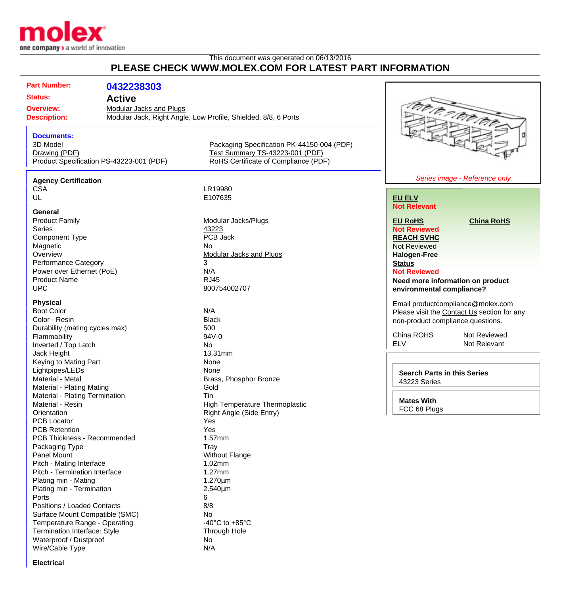

## This document was generated on 06/13/2016 **PLEASE CHECK WWW.MOLEX.COM FOR LATEST PART INFORMATION**

| <b>Part Number:</b>                                 |                                |                                                                |                                             |                                   |
|-----------------------------------------------------|--------------------------------|----------------------------------------------------------------|---------------------------------------------|-----------------------------------|
|                                                     | 0432238303                     |                                                                |                                             |                                   |
| <b>Status:</b>                                      | <b>Active</b>                  |                                                                |                                             |                                   |
| <b>Overview:</b>                                    | <b>Modular Jacks and Plugs</b> |                                                                |                                             |                                   |
| <b>Description:</b>                                 |                                | Modular Jack, Right Angle, Low Profile, Shielded, 8/8, 6 Ports |                                             | tra a no tra                      |
| <b>Documents:</b>                                   |                                |                                                                |                                             | o                                 |
| 3D Model                                            |                                | Packaging Specification PK-44150-004 (PDF)                     |                                             |                                   |
| Drawing (PDF)                                       |                                | Test Summary TS-43223-001 (PDF)                                |                                             |                                   |
| Product Specification PS-43223-001 (PDF)            |                                | RoHS Certificate of Compliance (PDF)                           |                                             |                                   |
| <b>Agency Certification</b>                         |                                |                                                                |                                             | Series image - Reference only     |
| <b>CSA</b>                                          |                                | LR19980                                                        |                                             |                                   |
| UL                                                  |                                | E107635                                                        | <b>EU ELV</b>                               |                                   |
| <b>General</b>                                      |                                |                                                                | <b>Not Relevant</b>                         |                                   |
| <b>Product Family</b>                               |                                | Modular Jacks/Plugs                                            | <b>EU RoHS</b>                              | <b>China RoHS</b>                 |
| <b>Series</b>                                       |                                | 43223                                                          | <b>Not Reviewed</b>                         |                                   |
| <b>Component Type</b>                               |                                | PCB Jack                                                       | <b>REACH SVHC</b>                           |                                   |
| Magnetic                                            |                                | No.                                                            | <b>Not Reviewed</b>                         |                                   |
| Overview                                            |                                | <b>Modular Jacks and Plugs</b>                                 | <b>Halogen-Free</b>                         |                                   |
| <b>Performance Category</b>                         |                                | 3                                                              | <b>Status</b>                               |                                   |
| Power over Ethernet (PoE)                           |                                | N/A                                                            | <b>Not Reviewed</b>                         |                                   |
| <b>Product Name</b>                                 |                                | <b>RJ45</b>                                                    |                                             | Need more information on product  |
| <b>UPC</b>                                          |                                | 800754002707                                                   | environmental compliance?                   |                                   |
| <b>Physical</b>                                     |                                |                                                                |                                             | Email productcompliance@molex.com |
| <b>Boot Color</b>                                   |                                | N/A                                                            | Please visit the Contact Us section for any |                                   |
| Color - Resin                                       |                                | <b>Black</b>                                                   | non-product compliance questions.           |                                   |
| Durability (mating cycles max)                      |                                | 500                                                            |                                             |                                   |
| Flammability                                        |                                | 94V-0                                                          | China ROHS                                  | Not Reviewed                      |
| Inverted / Top Latch                                |                                | No                                                             | <b>ELV</b>                                  | Not Relevant                      |
| Jack Height                                         |                                | 13.31mm                                                        |                                             |                                   |
| Keying to Mating Part                               |                                | None                                                           |                                             |                                   |
| Lightpipes/LEDs                                     |                                | None                                                           | <b>Search Parts in this Series</b>          |                                   |
| Material - Metal                                    |                                | Brass, Phosphor Bronze                                         | 43223 Series                                |                                   |
| Material - Plating Mating                           |                                | Gold                                                           |                                             |                                   |
| Material - Plating Termination                      |                                | Tin                                                            | <b>Mates With</b>                           |                                   |
| Material - Resin                                    |                                | <b>High Temperature Thermoplastic</b>                          | FCC 68 Plugs                                |                                   |
| Orientation                                         |                                | Right Angle (Side Entry)                                       |                                             |                                   |
| <b>PCB Locator</b>                                  |                                | Yes                                                            |                                             |                                   |
| <b>PCB Retention</b><br>PCB Thickness - Recommended |                                | Yes<br>1.57mm                                                  |                                             |                                   |
| Packaging Type                                      |                                | Tray                                                           |                                             |                                   |
| Panel Mount                                         |                                | <b>Without Flange</b>                                          |                                             |                                   |
| Pitch - Mating Interface                            |                                | 1.02mm                                                         |                                             |                                   |
| Pitch - Termination Interface                       |                                | $1.27$ mm                                                      |                                             |                                   |
| Plating min - Mating                                |                                | $1.270 \mu m$                                                  |                                             |                                   |
| Plating min - Termination                           |                                | 2.540µm                                                        |                                             |                                   |
| Ports                                               |                                | 6                                                              |                                             |                                   |
| <b>Positions / Loaded Contacts</b>                  |                                | 8/8                                                            |                                             |                                   |
| Surface Mount Compatible (SMC)                      |                                | No                                                             |                                             |                                   |

**Electrical**

Temperature Range - Operating  $\overline{a}$  -40°C to +85°C Termination Interface: Style Through Hole

Waterproof / Dustproof No Wire/Cable Type N/A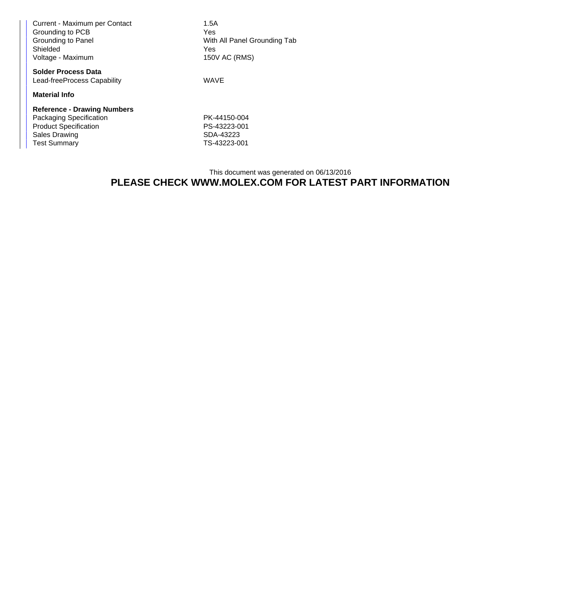| Current - Maximum per Contact<br>Grounding to PCB<br>Grounding to Panel<br>Shielded<br>Voltage - Maximum | 1.5A<br>Yes<br>With All Panel Grounding Tab<br><b>Yes</b><br>150V AC (RMS) |
|----------------------------------------------------------------------------------------------------------|----------------------------------------------------------------------------|
| <b>Solder Process Data</b><br>Lead-freeProcess Capability                                                | <b>WAVE</b>                                                                |
| <b>Material Info</b>                                                                                     |                                                                            |
| <b>Reference - Drawing Numbers</b>                                                                       |                                                                            |
| Packaging Specification<br><b>Product Specification</b><br>Sales Drawing<br><b>Test Summary</b>          | PK-44150-004<br>PS-43223-001<br>SDA-43223<br>TS-43223-001                  |

## This document was generated on 06/13/2016 **PLEASE CHECK WWW.MOLEX.COM FOR LATEST PART INFORMATION**